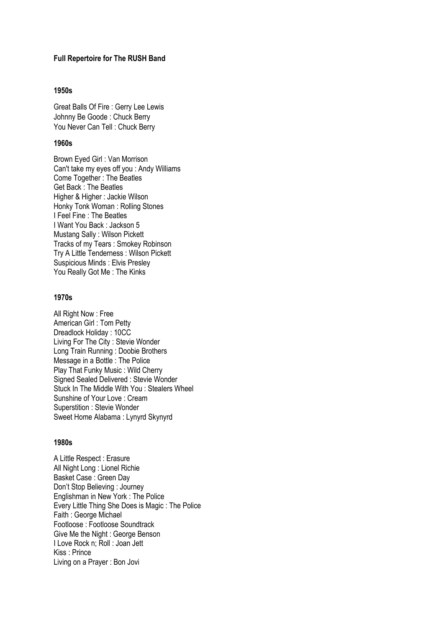#### **Full Repertoire for The RUSH Band**

#### **1950s**

Great Balls Of Fire : Gerry Lee Lewis Johnny Be Goode : Chuck Berry You Never Can Tell : Chuck Berry

# **1960s**

Brown Eyed Girl : Van Morrison Can't take my eyes off you : Andy Williams Come Together : The Beatles Get Back : The Beatles Higher & Higher : Jackie Wilson Honky Tonk Woman : Rolling Stones I Feel Fine : The Beatles I Want You Back : Jackson 5 Mustang Sally : Wilson Pickett Tracks of my Tears : Smokey Robinson Try A Little Tenderness : Wilson Pickett Suspicious Minds : Elvis Presley You Really Got Me: The Kinks

# **1970s**

All Right Now : Free American Girl : Tom Petty Dreadlock Holiday : 10CC Living For The City : Stevie Wonder Long Train Running : Doobie Brothers Message in a Bottle : The Police Play That Funky Music : Wild Cherry Signed Sealed Delivered : Stevie Wonder Stuck In The Middle With You : Stealers Wheel Sunshine of Your Love : Cream Superstition : Stevie Wonder Sweet Home Alabama : Lynyrd Skynyrd

# **1980s**

A Little Respect : Erasure All Night Long : Lionel Richie Basket Case : Green Day Don't Stop Believing : Journey Englishman in New York : The Police Every Little Thing She Does is Magic : The Police Faith : George Michael Footloose : Footloose Soundtrack Give Me the Night : George Benson I Love Rock n; Roll : Joan Jett Kiss : Prince Living on a Prayer : Bon Jovi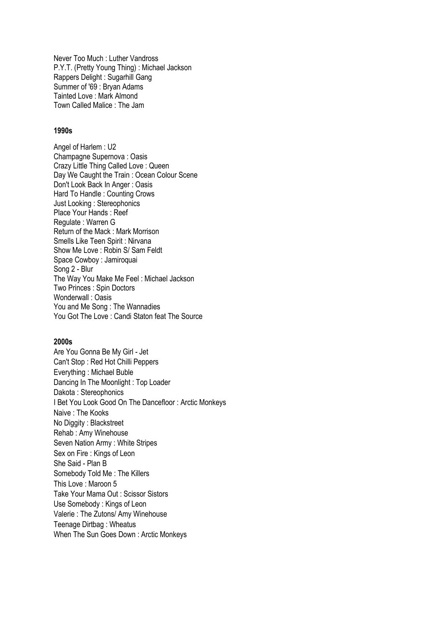Never Too Much : Luther Vandross P.Y.T. (Pretty Young Thing) : Michael Jackson Rappers Delight : Sugarhill Gang Summer of '69 : Bryan Adams Tainted Love : Mark Almond Town Called Malice : The Jam

# **1990s**

Angel of Harlem : U2 Champagne Supernova : Oasis Crazy Little Thing Called Love : Queen Day We Caught the Train : Ocean Colour Scene Don't Look Back In Anger : Oasis Hard To Handle : Counting Crows Just Looking : Stereophonics Place Your Hands : Reef Regulate : Warren G Return of the Mack : Mark Morrison Smells Like Teen Spirit : Nirvana Show Me Love : Robin S/ Sam Feldt Space Cowboy : Jamiroquai Song 2 - Blur The Way You Make Me Feel : Michael Jackson Two Princes : Spin Doctors Wonderwall : Oasis You and Me Song : The Wannadies You Got The Love : Candi Staton feat The Source

#### **2000s**

Are You Gonna Be My Girl - Jet Can't Stop : Red Hot Chilli Peppers Everything : Michael Buble Dancing In The Moonlight : Top Loader Dakota : Stereophonics I Bet You Look Good On The Dancefloor : Arctic Monkeys Naive : The Kooks No Diggity : Blackstreet Rehab : Amy Winehouse Seven Nation Army : White Stripes Sex on Fire : Kings of Leon She Said - Plan B Somebody Told Me : The Killers This Love : Maroon 5 Take Your Mama Out : Scissor Sistors Use Somebody : Kings of Leon Valerie : The Zutons/ Amy Winehouse Teenage Dirtbag : Wheatus When The Sun Goes Down : Arctic Monkeys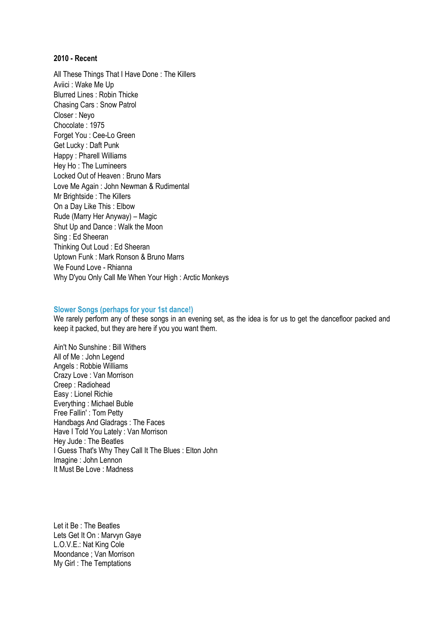#### **2010 - Recent**

All These Things That I Have Done : The Killers Aviici : Wake Me Up Blurred Lines : Robin Thicke Chasing Cars : Snow Patrol Closer : Neyo Chocolate : 1975 Forget You : Cee-Lo Green Get Lucky : Daft Punk Happy : Pharell Williams Hey Ho : The Lumineers Locked Out of Heaven : Bruno Mars Love Me Again : John Newman & Rudimental Mr Brightside : The Killers On a Day Like This : Elbow Rude (Marry Her Anyway) – Magic Shut Up and Dance : Walk the Moon Sing : Ed Sheeran Thinking Out Loud : Ed Sheeran Uptown Funk : Mark Ronson & Bruno Marrs We Found Love - Rhianna Why D'you Only Call Me When Your High : Arctic Monkeys

## **Slower Songs (perhaps for your 1st dance!)**

We rarely perform any of these songs in an evening set, as the idea is for us to get the dancefloor packed and keep it packed, but they are here if you you want them.

Ain't No Sunshine : Bill Withers All of Me : John Legend Angels : Robbie Williams Crazy Love : Van Morrison Creep : Radiohead Easy : Lionel Richie Everything : Michael Buble Free Fallin' : Tom Petty Handbags And Gladrags : The Faces Have I Told You Lately : Van Morrison Hey Jude : The Beatles I Guess That's Why They Call It The Blues : Elton John Imagine : John Lennon It Must Be Love : Madness

Let it Be : The Beatles Lets Get It On : Marvyn Gaye L.O.V.E.: Nat King Cole Moondance ; Van Morrison My Girl : The Temptations